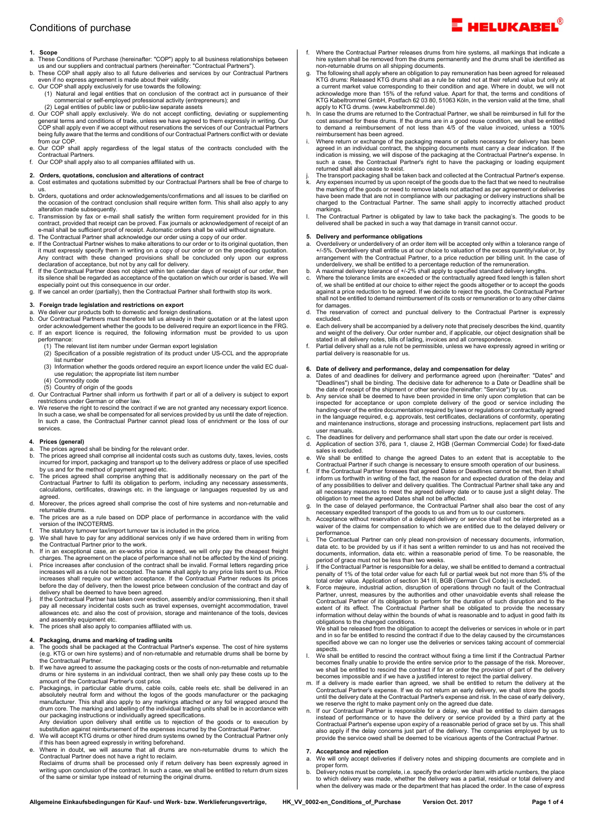# 1. Scope<br>a. These

- a. These Conditions of Purchase (hereinafter: "COP") apply to all business relationships between<br>us and our suppliers and contractual partners (hereinafter: "Contractual Partners").<br>b. These COP shall apply also to all f
- even if no express agreement is made about their validity.
- c. Our COP shall apply exclusively for use towards the following:
- (1) Natural and legal entities that on conclusion of the contract act in pursuance of their commercial or self-employed professional activity (entrepreneurs); and
- (2) Legal entities of public law or public-law separate assets d. Our COP shall apply exclusively. We do not accept conflicting, deviating or supplementing general terms and conditions of trade, unless we have agreed to them expressly in writing. Our COP shall apply even if we accept without reservations the services of our Contractual Partners being fully aware that the terms and conditions of our Contractual Partners conflict with or deviate
- from our COP. e. Our COP shall apply regardless of the legal status of the contracts concluded with the Contractual Partners.
- f. Our COP shall apply also to all companies affiliated with us.
- 2. Orders, quotations, conclusion and alterations of contract<br>a. Cost estimates and quotations submitted by our Contractual Pa
- Cost estimates and quotations submitted by our Contractual Partners shall be free of charge to us.
- b. Orders, quotations and order acknowledgements/confirmations and all issues to be clarified on the occasion of the contract conclusion shall require written form. This shall also apply to any alteration made subsequently.
- c. Transmission by fax or e-mail shall satisfy the written form requirement provided for in this<br>contract, provided that receipt can be proved. Fax journals or acknowledgement of receipt of an<br>e-mail shall be sufficient pr
- d. The Contractual Partner shall acknowledge our order using a copy of our order. e. If the Contractual Partner wishes to make alterations to our order or to its original quotation, then it must expressly specify them in writing on a copy of our order or on the preceding quotation.
- Any contract with these changed provisions shall be concluded only upon our express<br>declaration of acceptance, but not by any call for delivery.<br>f. If the Contractual Partner does not object within ten calendar days of rec
- especially point out this consequence in our order. g. If we cancel an order (partially), then the Contractual Partner shall forthwith stop its work.

### 3. Foreign trade legislation and restrictions on export

- a. We deliver our products both to domestic and foreign destinations.<br>b. Our Contractual Partners must therefore tell us already in their quotation or at the latest upon<br>order acknowledgement whether the goods to be deli
- c. If an export licence is required, the following information must be provided to us upon
	- performance: (1) The relevant list item number under German export legislation
	- (2) Specification of a possible registration of its product under US-CCL and the appropriate list number
	- (3) Information whether the goods ordered require an export licence under the valid EC dualuse regulation; the appropriate list item number
	- (4) Commodity code
	-
- (5) Country of origin of the goods d. Our Contractual Partner shall inform us forthwith if part or all of a delivery is subject to export restrictions under German or other law.
- e. We reserve the right to rescind the contract if we are not granted any necessary export licence. In such a case, we shall be compensated for all services provided by us until the date of rejection. In such a case, the Contractual Partner cannot plead loss of enrichment or the loss of our services.

#### 4. Prices (general)

- 
- a. The prices agreed shall be binding for the relevant order. b. The prices agreed shall comprise all incidental costs such as customs duty, taxes, levies, costs incurred for import, packaging and transport up to the delivery address or place of use specified<br>by us and for the method of payment agreed etc.<br>C. The prices agreed shall comprise anything that is additionally necessary
- Contractual Partner to fulfil its obligation to perform, including any necessary assessments, calculations, certificates, drawings etc. in the language or languages requested by us and
- agreed. d. Moreover, the prices agreed shall comprise the cost of hire systems and non-returnable and returnable drums.
- e. The prices are as a rule based on DDP place of performance in accordance with the valid version of the INCOTERMS.
- The statutory turnover tax/import turnover tax is included in the price.
- g. We shall have to pay for any additional services only if we have ordered them in writing from the Contractual Partner prior to the work.
- h. If in an exceptional case, an ex-works price is agreed, we will only pay the cheapest freight charges. The agreement on the place of performance shall not be affected by the kind of pricing.
- i. Price increases after conclusion of the contract shall be invalid. Formal letters regarding price increases will as a rule not be accepted. The same shall apply to any price lists sent to us. Price increases shall require our written acceptance. If the Contractual Partner reduces its prices before the day of delivery, then the lowest price between conclusion of the contract and day of delivery shall be deemed to have been agreed.
- j. If the Contractual Partner has taken over erection, assembly and/or commissioning, then it shall pay all necessary incidental costs such as travel expenses, overnight accommodation, travel allowances etc. and also the cost of provision, storage and maintenance of the tools, devices and assembly equipment etc.
- k. The prices shall also apply to companies affiliated with us.

#### 4. Packaging, drums and marking of trading units

- a. The goods shall be packaged at the Contractual Partner's expense. The cost of hire systems (e.g. KTG or own hire systems) and of non-returnable and returnable drums shall be borne by the Contractual Partner.
- b. If we have agreed to assume the packaging costs or the costs of non-returnable and returnable drums or hire systems in an individual contract, then we shall only pay these costs up to the amount of the Contractual Partner's cost price.
- c. Packagings, in particular cable drums, cable coils, cable reels etc. shall be delivered in an absolutely neutral form and without the logos of the goods manufacturer or the packaging manufacturer. This shall also apply to any markings attached or any foil wrapped around the<br>drum core. The marking and labelling of the individual trading units shall be in accordance with<br>our packaging instructions or ind
- substitution against reimbursement of the expenses incurred by the Contractual Partner.
- d. We will accept KTG drums or other hired drum systems owned by the Contractual Partner only if this has been agreed expressly in writing beforehand.
- e. Where in doubt, we will assume that all drums are non-returnable drums to which the Contractual Partner does not have a right to reclaim. Reclaims of drums shall be processed only if return delivery has been expressly agreed in writing upon conclusion of the contract. In such a case, we shall be entitled to return drum sizes of the same or similar type instead of returning the original drums.
- Where the Contractual Partner releases drums from hire systems, all markings that indicate a hire system shall be removed from the drums permanently and the drums shall be identified as
- non-returnable drums on all shipping documents.<br>The following shall apply where an obligation to pay remuneration has been agreed for released<br>KTG drums: Released KTG drums shall as a rule be rated not at their refund valu
- apply to KTG drums. (www.kabeltrommel.de) h. In case the drums are returned to the Contractual Partner, we shall be reimbursed in full for the cost assumed for these drums. If the drums are in a good reuse condition, we shall be entitled to demand a reimbursement of not less than 4/5 of the value invoiced, unless a 100% reimbursement has been agreed.
- i. Where return or exchange of the packaging means or pallets necessary for delivery has been agreed in an individual contract, the shipping documents must carry a clear indication. If the sindication is missing, we will d returned shall also cease to exist.
- j. The transport packaging shall be taken back and collected at the Contractual Partner's expense.
- k. Any expenses incurred by us upon receipt of the goods due to the fact that we need to neutralise the marking of the goods or need to remove labels not attached as per agreement or deliveries have been made that are not in compliance with our packaging or delivery instructions shall be charged to the Contractual Partner. The same shall apply to incorrectly attached product markings.
- The Contractual Partner is obligated by law to take back the packaging's. The goods to be delivered shall be packed in such a way that damage in transit cannot occur.

#### 5. Delivery and performance obligations

- a. Overdelivery or underdelivery of an order item will be accepted only within a tolerance range of +/-5%. Overdelivery shall entitle us at our choice to valuation of the excess quantity/value or, by arrangement with the Contractual Partner, to a price reduction per billing unit. In the case of underdelivery, we shall be entitled to a percentage reduction of the remuneration.
- b. A maximal delivery tolerance of +/-2% shall apply to specified standard delivery lengths. c. Where the tolerance limits are exceeded or the contractually agreed fixed length is fallen short
- of, we shall be entitled at our choice to either reject the goods altogether or to accept the goods against a price reduction to be agreed. If we decide to reject the goods, the Contractual Partner shall not be entitled to demand reimbursement of its costs or remuneration or to any other claims for damages.
- d. The reservation of correct and punctual delivery to the Contractual Partner is expressly excluded.
- e. Each delivery shall be accompanied by a delivery note that precisely describes the kind, quantity and weight of the delivery. Our order number and, if applicable, our object designation shall be stated in all delivery notes, bills of lading, invoices and all correspondence.
- f. Partial delivery shall as a rule not be permissible, unless we have expressly agreed in writing or partial delivery is reasonable for us.

- **6.** Date of delivery and performance, delay and compensation for delay<br>a. Dates of and deadlines for delivery and performance agreed upon (hereinafter: "Dates" and<br>"Deadlines") shall be binding. The decisive date for adhe
- b. Any service shall be deemed to have been provided in time only upon completion that can be inspected for acceptance or upon complete delivery of the good or service including the handing-over of the entire documentation and maintenance instructions, storage and processing instructions, replacement part lists and user manuals.
- c. The deadlines for delivery and performance shall start upon the date our order is received.<br>
c. The deadlines for delivery and performance shall start upon the date our order is received.<br>
Application of section 376, pa d. Application of section 376, para 1, clause 2, HGB (German Commercial Code) for fixed-date sales is excluded.
- e. We shall be entitled to change the agreed Dates to an extent that is acceptable to the Contractual Partner if such change is necessary to ensure smooth operation of our business.
- f. If the Contractual Partner foresees that agreed Dates or Deadlines cannot be met, then it shall inform us forthwith in writing of the fact, the reason for and expected duration of the delay and of any possibilities to deliver and delivery qualities. The Contractual Partner shall take any and all necessary measures to meet the agreed delivery date or to cause just a slight delay. The obligation to meet the agreed Dates shall not be affected. g. In the case of delayed performance, the Contractual Partner shall also bear the cost of any
- 
- necessary expedited transport of the goods to us and from us to our customers.<br>h. Acceptance without reservation of a delayed delivery or service shall not be interpreted as a<br>waiver of the claims for compensation to which
- performance.<br>I. The Contractual Partner can only plead non-provision of necessary documents, information,<br>data etc. to be provided by us if it has sent a written reminder to us and has not received the<br>documents, informati period of grace must not be less than two weeks.
- j. If the Contractual Partner is responsible for a delay, we shall be entitled to demand a contractual penalty of 1% of the total order value for each full or partial week but not more than 5% of the total order value. Application of section 341 III, BGB (German Civil Code) is excluded.
- Force majeure, industrial action, disruption of operations through no fault of the Contractual Partner, unrest, measures by the authorities and other unavoidable events shall release the Contractual Partner of its obligation to perform for the duration of such disruption and to the<br>extent of its effect. The Contractual Partner shall be obligated to provide the necessary<br>information without delay within the

obligations to the changed conditions. We shall be released from the obligation to accept the deliveries or services in whole or in part and in so far be entitled to rescind the contract if due to the delay caused by the circumstances specified above we can no longer use the deliveries or services taking account of commercial aspects.

- l. We shall be entitled to rescind the contract without fixing a time limit if the Contractual Partner becomes finally unable to provide the entire service prior to the passage of the risk. Moreover, we shall be entitled to rescind the contract if for an order the provision of part of the delivery becomes impossible and if we have a justified interest to reject the partial delivery.
- m. If a delivery is made earlier than agreed, we shall be entitled to return the delivery at the Contractual Partner's expense. If we do not return an early delivery, we shall store the goods until the delivery date at the Contractual Partner's expense and risk. In the case of early delivery, we reserve the right to make payment only on the agreed due date.
- n. If our Contractual Partner is responsible for a delay, we shall be entitled to claim damages instead of performance or to have the delivery or service provided by a third party at the Contractual Partner's expense upon expiry of a reasonable period of grace set by us. This shall also apply if the delay concerns just part of the delivery. The companies employed by us to provide the service owed shall be deemed to be vicarious agents of the Contractual Partner.

#### 7. Acceptance and rejection

- We will only accept deliveries if delivery notes and shipping documents are complete and in proper form.
- Delivery notes must be complete, i.e. specify the order/order item with article numbers, the place to which delivery was made, whether the delivery was a partial, residual or total delivery and when the delivery was made or the department that has placed the order. In the case of express

 $\blacksquare$  HELUKABEL $^\circ$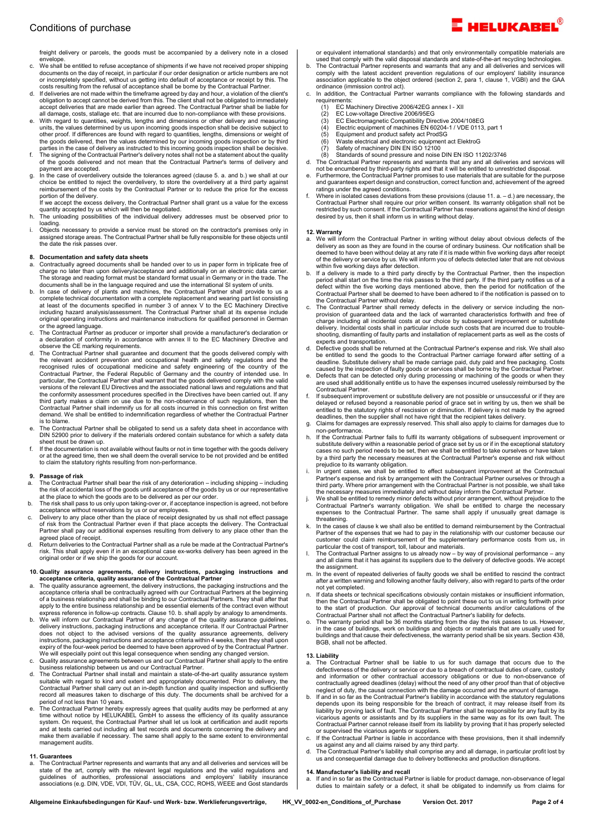freight delivery or parcels, the goods must be accompanied by a delivery note in a closed envelope.

- c. We shall be entitled to refuse acceptance of shipments if we have not received proper shipping documents on the day of receipt, in particular if our order designation or article numbers are not or incompletely specified, without us getting into default of acceptance or receipt by this. The costs resulting from the refusal of acceptance shall be borne by the Contractual Partner.
- d. If deliveries are not made within the timeframe agreed by day and hour, a violation of the client's obligation to accept cannot be derived from this. The client shall not be obligated to immediately accept deliveries that are made earlier than agreed. The Contractual Partner shall be liable for all damage, costs, stallage etc. that are incurred due to non-compliance with these provisions.
- e. With regard to quantities, weights, lengths and dimensions or other delivery and measuring<br>units, the values determined by us upon incoming goods inspection shall be decisive subject to<br>other proof. If differences are f
- f. The signing of the Contractual Partner's delivery notes shall not be a statement about the quality of the goods delivered and not mean that the Contractual Partner's terms of delivery and
- payment are accepted. g. In the case of overdelivery outside the tolerances agreed (clause 5. a. and b.) we shall at our choice be entitled to reject the overdelivery, to store the overdelivery at a third party against reimbursement of the costs by the Contractual Partner or to reduce the price for the excess

portion of the delivery. If we accept the excess delivery, the Contractual Partner shall grant us a value for the excess quantity accepted by us which will then be negotiated.

- h. The unloading possibilities of the individual delivery addresses must be observed prior to loading.
- i. Objects necessary to provide a service must be stored on the contractor's premises only in assigned storage areas. The Contractual Partner shall be fully responsible for these objects until the date the risk passes over.

- 8. Documentation and safety data sheets<br>a. Contractually agreed documents shall be handed over to us in paper form in triplicate free of charge no later than upon delivery/acceptance and additionally on an electronic data carrier. The storage and reading format must be standard format usual in Germany or in the trade. The
- documents shall be in the language required and use the international SI system of units. b. In case of delivery of plants and machines, the Contractual Partner shall provide to us a complete technical documentation with a complete replacement and wearing part list consisting<br>at least of the documents specified in number 3 of annex V to the EC Machinery Directive<br>including hazard analysis/assessment. T original operating instructions and maintenance instructions for qualified personnel in German or the agreed language.
- c. The Contractual Partner as producer or importer shall provide a manufacturer's declaration or a declaration of conformity in accordance with annex II to the EC Machinery Directive and observe the CE marking requirements.
- d. The Contractual Partner shall guarantee and document that the goods delivered comply with the relevant accident prevention and occupational health and safety regulations and the recognised rules of occupational medicine and safety engineering of the country of the recognised recognisation and contractual Partne versions of the relevant EU Directives and the associated national laws and regulations and that the conformity assessment procedures specified in the Directives have been carried out. If any third party makes a claim on use due to the non-observance of such regulations, then the Contractual Partner shall indemnify us for all costs incurred in this connection on first written demand. We shall be entitled to indemnification regardless of whether the Contractual Partner is to blame.
- e. The Contractual Partner shall be obligated to send us a safety data sheet in accordance with DIN 52900 prior to delivery if the materials ordered contain substance for which a safety data<br>sheet must be drawn up.<br>f. If the documentation is not available without faults or not in time together with the goods delive
- or at the agreed time, then we shall deem the overall service to be not provided and be entitled to claim the statutory rights resulting from non-performance.

# 9. Passage of risk<br>a The Contractual

- a. The Contractual Partner shall bear the risk of any deterioration including shipping including the risk of accidental loss of the goods until acceptance of the goods by us or our representative at the place to which the goods are to be delivered as per our order. b. The risk shall pass to us only upon taking-over or, if acceptance inspection is agreed, not before
- acceptance without reservations by us or our employees. c. Delivery to any place other than the place of receipt designated by us shall not effect passage
- of risk from the Contractual Partner even if that place accepts the delivery. The Contractual Partner shall pay our additional expenses resulting from delivery to any place other than the agreed place of receipt.
- d. Return deliveries to the Contractual Partner shall as a rule be made at the Contractual Partner's risk. This shall apply even if in an exceptional case ex-works delivery has been agreed in the original order or if we ship the goods for our account.

# 10. Quality assurance agreements, delivery instructions, packaging instructions and acceptance criteria, quality assurance of the Contractual Partner

- a. The quality assurance agreement, the delivery instructions, the packaging instructions and the acceptance criteria shall be contractually agreed with our Contractual Partners at the beginning of a business relationship and shall be binding to our Contractual Partners. They shall after that apply to the entire business relationship and be essential elements of the contract even without
- express reference in follow-up contracts. Clause 10. b. shall apply by analogy to amendments. b. We will inform our Contractual Partner of any change of the quality assurance guidelines, delivery instructions, packaging instructions and acceptance criteria. If our Contractual Partner<br>does not object to the advised versions of the quality assurance agreements, delivery<br>instructions, packaging in expiry of the four-week period be deemed to have been approved of by the Contractual Partner. We will especially point out this legal consequence when sending any changed version.
- c. Quality assurance agreements between us and our Contractual Partner shall apply to the entire business relationship between us and our Contractual Partner.
- d. The Contractual Partner shall install and maintain a state-of-the-art quality assurance system suitable with regard to kind and extent and appropriately documented. Prior to delivery, the Contractual Partner shall carry out an in-depth function and quality inspection and sufficiently record all measures taken to discharge of this duty. The documents shall be archived for a
- period of not less than 10 years. e. The Contractual Partner hereby expressly agrees that quality audits may be performed at any time without notice by HELUKABEL GmbH to assess the efficiency of its quality assurance system. On request, the Contractual Partner shall let us look at certification and audit reports and at tests carried out including all test records and documents concerning the delivery and make them available if necessary. The same shall apply to the same extent to environmental management audits.

#### 11. Guarantees

a. The Contractual Partner represents and warrants that any and all deliveries and services will be state of the art, comply with the relevant legal regulations and the valid regulations and guidelines of authorities, prof

or equivalent international standards) and that only environmentally compatible materials are

- used that comply with the valid disposal standards and state-of-the-art recycling technologies.<br>b. The Contractual Partner represents and warrants that any and all deliveries and services will<br>comply with the latest accide association applicable to the object ordered (section 2, para 1, clause 1, VGBI) and the GAA ordinance (immission control act).
- In addition, the Contractual Partner warrants compliance with the following standards and requirements:
	- (1) EC Machinery Directive 2006/42EG annex I XII<br>(2) EC Low-voltage Directive 2006/95EG
	- (2) EC Low-voltage Directive 2006/95EG
	- (3) EC Electromagnetic Compatibility Directive 2004/108EG<br>(4) Electric equipment of machines EN 60204-1 / VDE 0113, part 1<br>(5) Equipment and product safety act ProdSG<br>(6) Waste electrical and electronic equipment act Elekt
	-
	-
	-
	-
- (8) Standards of sound pressure and noise DIN EN ISO 11202/3746<br>1. The Contractual Partner represents and warrants that any and all deliveries and services will<br>not be encumbered by third-party rights and that it will be e
- and guarantees expert design and construction, correct function and, achievement of the agreed ratings under the agreed conditions.
- f. Where in isolated cases deviations from these provisions (clause 11. a. d.) are necessary, the Contractual Partner shall require our prior written consent. Its warranty obligation shall not be restricted by such consent. If the Contractual Partner has reservations against the kind of design desired by us, then it shall inform us in writing without delay.

#### 12. Warranty

- a. We will inform the Contractual Partner in writing without delay about obvious defects of the delivery as soon as they are found in the course of ordinary business. Our notification shall be<br>deemed to have been without delay at any rate if it is made within five working days after receipt<br>of the delivery or service within five working days after detection.
- b. If a delivery is made to a third party directly by the Contractual Partner, then the inspection period shall start on the time the risk passes to the third party. If the third party notifies us of a defect within the fi Contractual Partner shall be deemed to have been adhered to if the notification is passed on to the Contractual Partner without delay.
- c. The Contractual Partner shall remedy defects in the delivery or service including the non-provision of guaranteed data and the lack of warranted characteristics forthwith and free of charge including all incidental costs at our choice by subsequent improvement or substitute delivery. Incidental costs shall in particular include such costs that are incurred due to troubleshooting, dismantling of faulty parts and installation of replacement parts as well as the costs of experts and transportation.
- d. Defective goods shall be returned at the Contractual Partner's expense and risk. We shall also<br>be entitled to send the goods to the Contractual Partner carriage forward after setting of a<br>deadline. Substitute delivery caused by the inspection of faulty goods or services shall be borne by the Contractual Partner. e. Defects that can be detected only during processing or machining of the goods or when they
- are used shall additionally entitle us to have the expenses incurred uselessly reimbursed by the Contractual Partner.
- f. If subsequent improvement or substitute delivery are not possible or unsuccessful or if they are delayed or refused beyond a reasonable period of grace set in writing by us, then we shall be entitled to the statutory ri
- non-performance.
- h. If the Contractual Partner fails to fulfil its warranty obligations of subsequent improvement or substitute delivery within a reasonable period of grace set by us or if in the exceptional statutory<br>cases no such period by a third party the necessary measures at the Contractual Partner's expense and risk without
- prejudice to its warranty obligation.<br>i. In urgent cases, we shall be entitled to effect subsequent improvement at the Contractual<br>Partner's expense and risk by arrangement with the Contractual Partner ourselves or throu third party. Where prior arrangement with the Contractual Partner is not possible, we shall take the necessary measures immediately and without delay inform the Contractual Partner.
- j. We shall be entitled to remedy minor defects without prior arrangement, without prejudice to the Contractual Partner's warranty obligation. We shall be entitled to charge the necessary<br>expenses to the Contractual Partne threatening.
- In the cases of clause k we shall also be entitled to demand reimbursement by the Contractual Partner of the expenses that we had to pay in the relationship with our customer because our customer could claim reimbursement of the supplementary performance costs from us, in
- particular the cost of transport, toll, labour and materials. l. The Contractual Partner assigns to us already now by way of provisional performance any and all claims that it has against its suppliers due to the delivery of defective goods. We accept the assignment.
- m. In the event of repeated deliveries of faulty goods we shall be entitled to rescind the contract after a written warning and following another faulty delivery, also with regard to parts of the order not yet completed.
- n. If data sheets or technical specifications obviously contain mistakes or insufficient information, then the Contractual Partner shall be obligated to point these out to us in writing forthwith prior<br>to the start of production. Our approval of technical documents and/or calculations of the<br>Contractual Partner shall not a
- o. The warranty period shall be 36 months starting from the day the risk passes to us. However, in the case of buildings, work on buildings and objects or materials that are usually used for buildings and that cause their defectiveness, the warranty period shall be six years. Section 438, BGB, shall not be affected.

## 13. Liability

- a. The Contractual Partner shall be liable to us for such damage that occurs due to the defectiveness of the delivery or service or due to a breach of contractual duties of care, custody and information or other contractual accessory obligations or due to non-observance of<br>contractually agreed deadlines (delay) without the need of any other proof than that of objective<br>neglect of duty, the causal connectio
- b. If and in so far as the Contractual Partner's liability in accordance with the statutory regulations<br>depends upon its being responsible for the breach of contract, it may release itself from its<br>liability by proving lac Contractual Partner cannot release itself from its liability by proving that it has properly selected or supervised the vicarious agents or suppliers.
- If the Contractual Partner is liable in accordance with these provisions, then it shall indemnify
- us against any and all claims raised by any third party.<br>In The Contractual Partner's liability shall comprise any and all damage, in particular profit lost by the Cont<br>us and consequential damage due to delivery bottlenec

## 14. Manufacturer's liability and recall

If and in so far as the Contractual Partner is liable for product damage, non-observance of legal duties to maintain safety or a defect, it shall be obligated to indemnify us from claims for

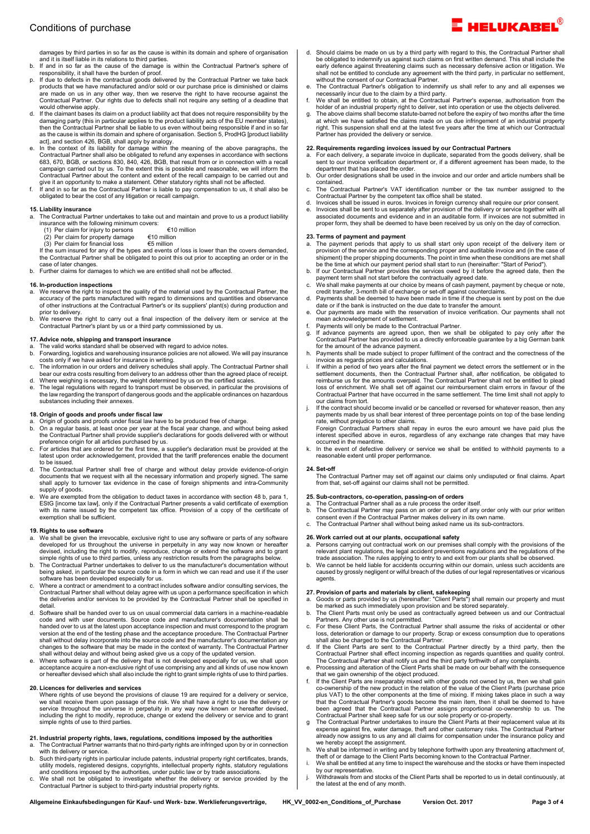damages by third parties in so far as the cause is within its domain and sphere of organisation and it is itself liable in its relations to third parties.

- b. If and in so far as the cause of the damage is within the Contractual Partner's sphere of responsibility, it shall have the burden of proof.
- p. If due to defects in the contractual goods delivered by the Contractual Partner we take back products that we have manufactured and/or sold or our purchase price is diminished or claims<br>are made on us in any other way, then we reserve the right to have recourse against the<br>Contractual Partner. Our rights due to de would otherwise apply. d. If the claimant bases its claim on a product liability act that does not require responsibility by the
- damaging party (this in particular applies to the product liability acts of the EU member states),<br>then the Contractual Partner shall be liable to us even without being responsible if and in so far<br>as the cause is within i
- act], and section 426, BGB, shall apply by analogy. e. In the context of its liability for damage within the meaning of the above paragraphs, the Contractual Partner shall also be obligated to refund any expenses in accordance with sections 683, 670, BGB, or sections 830, 840, 426, BGB, that result from or in connection with a recall campaign carried out by us. To the extent this is possible and reasonable, we will inform the Contractual Partner about the content and extent of the recall campaign to be carried out and
- give it an opportunity to make a statement. Other statutory rights shall not be affected. f. If and in so far as the Contractual Partner is liable to pay compensation to us, it shall also be obligated to bear the cost of any litigation or recall campaign.

### 15. Liability insurance

- a. The Contractual Partner undertakes to take out and maintain and prove to us a product liability
	- insurance with the following minimum covers: (1) Per claim for injury to persons €10 million (2) Per claim for property damage €10 million
	-

(3) Per claim for financial loss €5 million If the sum insured for any of the types and events of loss is lower than the covers demanded, the Contractual Partner shall be obligated to point this out prior to accepting an order or in the case of later changes.

b. Further claims for damages to which we are entitled shall not be affected.

### 16. In-production inspections

- a. We reserve the right to inspect the quality of the material used by the Contractual Partner, the accuracy of the parts manufactured with regard to dimensions and quantities and observance of other instructions at the Contractual Partner's or its suppliers' plant(s) during production and prior to delivery.
- b. We reserve the right to carry out a final inspection of the delivery item or service at the Contractual Partner's plant by us or a third party commissioned by us.

#### 17. Advice note, shipping and transport insurance

- a. The valid works standard shall be observed with regard to advice notes. b. Forwarding, logistics and warehousing insurance policies are not allowed. We will pay insurance
- costs only if we have asked for insurance in writing. c. The information in our orders and delivery schedules shall apply. The Contractual Partner shall
- bear our extra costs resulting from delivery to an address other than the agreed place of receipt. d. Where weighing is necessary, the weight determined by us on the certified scales. e. The legal regulations with regard to transport must be observed, in particular the provisions of the law regarding the transport of dangerous goods and the applicable ordinances on hazardous

### 18. Origin of goods and proofs under fiscal law

substances including their annexes.

- a. Origin of goods and proofs under fiscal law have to be produced free of charge. b. On a regular basis, at least once per year at the fiscal year change, and without being asked
- the Contractual Partner shall provide supplier's declarations for goods delivered with or without<br>preference origin for all articles purchased by us.<br>C. For articles that are ordered for the first time, a supplier's declar
- latest upon order acknowledgement, provided that the tariff preferences enable the documents. to be issued.
- d. The Contractual Partner shall free of charge and without delay provide evidence-of-origin documents that we request with all the necessary information and properly signed. The same shall apply to turnover tax evidence in the case of foreign shipments and intra-Community supply of goods.
- e. We are exempted from the obligation to deduct taxes in accordance with section 48 b, para 1, EStG [income tax law], only if the Contractual Partner presents a valid certificate of exemption with its name issued by the competent tax office. Provision of a copy of the certificate of exemption shall be sufficient.

### 19. Rights to use software

- a. We shall be given the irrevocable, exclusive right to use any software or parts of any software<br>developed for us throughout the universe in perpetuity in any way now known or hereafter<br>devised, including the right to mo simple rights of use to third parties, unless any restriction results from the paragraphs below.
- b. The Contractual Partner undertakes to deliver to us the manufacturer's documentation without being asked, in particular the source code in a form in which we can read and use it if the user software has been developed especially for us.
- c. Where a contract or amendment to a contract includes software and/or consulting services, the Contractual Partner shall without delay agree with us upon a performance specification in which the deliveries and/or services to be provided by the Contractual Partner shall be specified in detail.
- d. Software shall be handed over to us on usual commercial data carriers in a machine-readable code and with user documents. Source code and manufacturer's documentation shall be handed over to us at the latest upon acceptance inspection and must correspond to the program version at the end of the testing phase and the acceptance procedure. The Contractual Partner shall without delay incorporate into the source code and the manufacturer's documentation any changes to the software that may be made in the context of warranty. The Contractual Partner shall without delay and without being asked give us a copy of the updated version.
- e. Where software is part of the delivery that is not developed especially for us, we shall upon acceptance acquire a non-exclusive right of use comprising any and all kinds of use now known or hereafter devised which shall also include the right to grant simple rights of use to third parties.

## 20. Licences for deliveries and services

Where rights of use beyond the provisions of clause 19 are required for a delivery or service, we shall receive them upon passage of the risk. We shall have a right to use the delivery or<br>service throughout the universe in perpetuity in any way now known or hereafter devised,<br>including the right to modify, reproduce simple rights of use to third parties.

# 21. Industrial property rights, laws, regulations, conditions imposed by the authorities a. The Contractual Partner warrants that no third-party rights are infringed upon by or in connection

- with its delivery or service.
- b. Such third-party rights in particular include patents, industrial property right certificates, brands, utility models, registered designs, copyrights, intellectual property rights, statutory regulations and conditions imposed by the authorities, under public law or by trade associations. c. We shall not be obligated to investigate whether the delivery or service provided by the
- Contractual Partner is subject to third-party industrial property rights.
- Should claims be made on us by a third party with regard to this, the Contractual Partner shall be obligated to indemnify us against such claims on first written demand. This shall include the early defence against threatening claims such as hecessary defensive action or litigation. We shall not be entitled to conclu
- e. The Contractual Partner's obligation to indemnify us shall refer to any and all expenses we necessarily incur due to the claim by a third party. f. We shall be entitled to obtain, at the Contractual Partner's expense, authorisation from the
- holder of an industrial property right to deliver, set into operation or use the objects delivered. g. The above claims shall become statute-barred not before the expiry of two months after the time
- at which we have satisfied the claims made on us due infringement of an industrial property right. This suspension shall end at the latest five years after the time at which our Contractual Partner has provided the delivery or service.

#### 22. Requirements regarding invoices issued by our Contractual Partners

- a. For each delivery, a separate invoice in duplicate, separated from the goods delivery, shall be sent to our invoice verification department or, if a different agreement has been made, to the department that has placed the order.
- b. Our order designations shall be used in the invoice and our order and article numbers shall be contained. c. The Contractual Partner's VAT identification number or the tax number assigned to the
- Contractual Partner by the competent tax office shall be stated. d. Invoices shall be issued in euros. Invoices in foreign currency shall require our prior consent.
- e. Invoices shall be sent to us separately after provision of the delivery or service together with all associated documents and evidence and in an auditable form. If invoices are not submitted in proper form, they shall be deemed to have been received by us only on the day of correction.

- **23. Terms of payment and payment**<br>a. The payment periods that apply to us shall start only upon receipt of the delivery item or<br> provision of the service and the corresponding proper and auditable invoice and (in the c shipment) the proper shipping documents. The point in time when these conditions are met shall be the time at which our payment period shall start to run (hereinafter: "Start of Period").
- b. If our Contractual Partner provides the services owed by it before the agreed date, then the payment term shall not start before the contractually agreed date.
- c. We shall make payments at our choice by means of cash payment, payment by cheque or note, credit transfer, 3-month bill of exchange or set-off against counterclaims.
- d. Payments shall be deemed to have been made in time if the cheque is sent by post on the due date or if the bank is instructed on the due date to transfer the amount. e. Our payments are made with the reservation of invoice verification. Our payments shall not
- mean acknowledgement of settlement.
- f. Payments will only be made to the Contractual Partner.<br>
q. If advance payments are agreed upon, then we shall
- g. If advance payments are agreed upon, then we shall be obligated to pay only after the Contractual Partner has provided to us a directly enforceable guarantee by a big German bank
- for the amount of the advance payment. h. Payments shall be made subject to proper fulfilment of the contract and the correctness of the invoice as regards prices and calculations.
- i. If within a period of two years after the final payment we detect errors the settlement or in the settlement documents, then the Contractual Partner shall, after notification, be obligated to reimburse us for the amounts overpaid. The Contractual Partner shall not be entitled to plead loss of enrichment. We shall set off against our reimbursement claim errors in favour of the Contractual Partner that have occurred in the same settlement. The time limit shall not apply to our claims from tort.
- If the contract should become invalid or be cancelled or reversed for whatever reason, then any payments made by us shall bear interest of three percentage points on top of the base lending rate, without prejudice to other claims.
- Foreign Contractual Partners shall repay in euros the euro amount we have paid plus the interest specified above in euros, regardless of any exchange rate changes that may have occurred in the meantime.
- k. In the event of defective delivery or service we shall be entitled to withhold payments to a reasonable extent until proper performance.

24. Set-off The Contractual Partner may set off against our claims only undisputed or final claims. Apart from that, set-off against our claims shall not be permitted.

# 25. Sub-contractors, co-operation, passing-on of orders a. The Contractual Partner shall as a rule process the order itself.

- b. The Contractual Partner may pass on an order or part of any order only with our prior written consent even if the Contractual Partner makes delivery in its own name.
- c. The Contractual Partner shall without being asked name us its sub-contractors.

- **26. Work carried out at our plants, occupational safety**<br>a. Persons carrying out contractual work on our premises shall comply with the provisions of the<br>relevant plant regulations, the legal accident preventions regula
- trade association. The rules applying to entry to and exit from our plants shall be observed.<br>b. We cannot be held liable for accidents occurring within our domain, unless such accidents are<br>caused by grossly negligent or agents.

### 27. Provision of parts and materials by client, safekeeping

- a. Goods or parts provided by us (hereinafter: "Client Parts") shall remain our property and must be marked as such immediately upon provision and be stored separately.
- b. The Client Parts must only be used as contractually agreed between us and our Contractual Partners. Any other use is not permitted. c. For these Client Parts, the Contractual Partner shall assume the risks of accidental or other
- loss, deterioration or damage to our property. Scrap or excess consumption due to operations shall also be charged to the Contractual Partner.
- d. If the Client Parts are sent to the Contractual Partner directly by a third party, then the Contractual Partner shall effect incoming inspection as regards quantities and quality control.
- The Contractual Partner shall notify us and the third party forthwith of any complaints. e. Processing and alteration of the Client Parts shall be made on our behalf with the consequence
- that we gain ownership of the object produced. f. If the Client Parts are inseparably mixed with other goods not owned by us, then we shall gain co-ownership of the new product in the relation of the value of the Client Parts (purchase price plus VAT) to the other components at the time of mixing. If mixing takes place in such a way that the Contractual Partner's goods become the main item, then it shall be deemed to have<br>been agreed that the Contractual Partner assigns proportional co-ownership to us. The<br>Contractual Partner shall keep safe for us ou
- expense against fire, water damage, theft and other customary risks. The Contractual Partner already now assigns to us any and all claims for compensation under the insurance policy and we hereby accept the assignment.
- h. We shall be informed in writing and by telephone forthwith upon any threatening attachment of, theft of or damage to the Client Parts becoming known to the Contractual Partner.
- We shall be entitled at any time to inspect the warehouse and the stocks or have them inspected by our representative. j. Withdrawals from and stocks of the Client Parts shall be reported to us in detail continuously, at
- the latest at the end of any month.